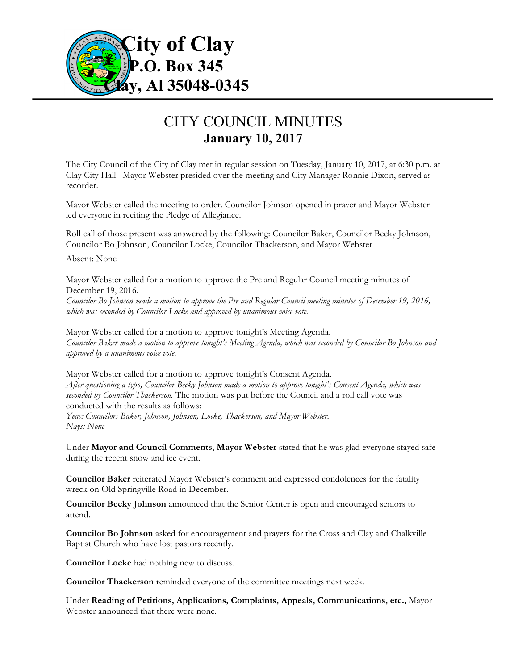

## CITY COUNCIL MINUTES **January 10, 2017**

The City Council of the City of Clay met in regular session on Tuesday, January 10, 2017, at 6:30 p.m. at Clay City Hall. Mayor Webster presided over the meeting and City Manager Ronnie Dixon, served as recorder.

Mayor Webster called the meeting to order. Councilor Johnson opened in prayer and Mayor Webster led everyone in reciting the Pledge of Allegiance.

Roll call of those present was answered by the following: Councilor Baker, Councilor Becky Johnson, Councilor Bo Johnson, Councilor Locke, Councilor Thackerson, and Mayor Webster

Absent: None

Mayor Webster called for a motion to approve the Pre and Regular Council meeting minutes of December 19, 2016. *Councilor Bo Johnson made a motion to approve the Pre and Regular Council meeting minutes of December 19, 2016,*

*which was seconded by Councilor Locke and approved by unanimous voice vote.*

Mayor Webster called for a motion to approve tonight's Meeting Agenda. *Councilor Baker made a motion to approve tonight's Meeting Agenda, which was seconded by Councilor Bo Johnson and approved by a unanimous voice vote.*

Mayor Webster called for a motion to approve tonight's Consent Agenda. *After questioning a typo, Councilor Becky Johnson made a motion to approve tonight's Consent Agenda, which was seconded by Councilor Thackerson.* The motion was put before the Council and a roll call vote was conducted with the results as follows: *Yeas: Councilors Baker, Johnson, Johnson, Locke, Thackerson, and Mayor Webster. Nays: None*

Under **Mayor and Council Comments**, **Mayor Webster** stated that he was glad everyone stayed safe during the recent snow and ice event.

**Councilor Baker** reiterated Mayor Webster's comment and expressed condolences for the fatality wreck on Old Springville Road in December.

**Councilor Becky Johnson** announced that the Senior Center is open and encouraged seniors to attend.

**Councilor Bo Johnson** asked for encouragement and prayers for the Cross and Clay and Chalkville Baptist Church who have lost pastors recently.

**Councilor Locke** had nothing new to discuss.

**Councilor Thackerson** reminded everyone of the committee meetings next week.

Under **Reading of Petitions, Applications, Complaints, Appeals, Communications, etc.,** Mayor Webster announced that there were none.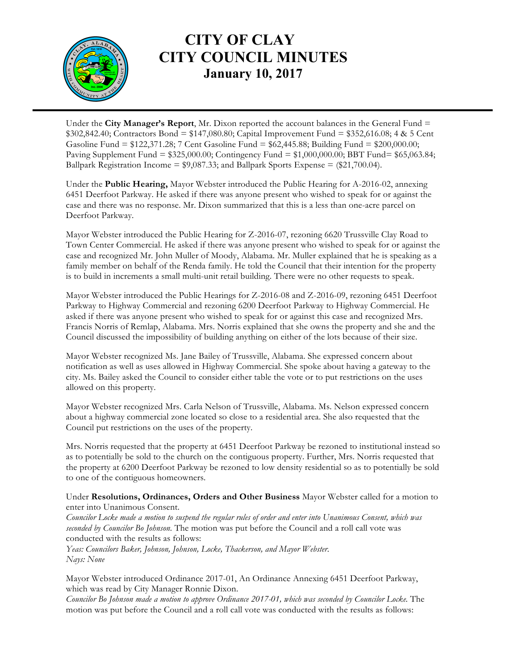

## **CITY OF CLAY CITY COUNCIL MINUTES January 10, 2017**

Under the **City Manager's Report**, Mr. Dixon reported the account balances in the General Fund = \$302,842.40; Contractors Bond = \$147,080.80; Capital Improvement Fund = \$352,616.08; 4 & 5 Cent Gasoline Fund = \$122,371.28; 7 Cent Gasoline Fund = \$62,445.88; Building Fund = \$200,000.00; Paving Supplement Fund = \$325,000.00; Contingency Fund = \$1,000,000.00; BBT Fund= \$65,063.84; Ballpark Registration Income =  $$9,087.33$ ; and Ballpark Sports Expense =  $$21,700.04$ ).

Under the **Public Hearing,** Mayor Webster introduced the Public Hearing for A-2016-02, annexing 6451 Deerfoot Parkway. He asked if there was anyone present who wished to speak for or against the case and there was no response. Mr. Dixon summarized that this is a less than one-acre parcel on Deerfoot Parkway.

Mayor Webster introduced the Public Hearing for Z-2016-07, rezoning 6620 Trussville Clay Road to Town Center Commercial. He asked if there was anyone present who wished to speak for or against the case and recognized Mr. John Muller of Moody, Alabama. Mr. Muller explained that he is speaking as a family member on behalf of the Renda family. He told the Council that their intention for the property is to build in increments a small multi-unit retail building. There were no other requests to speak.

Mayor Webster introduced the Public Hearings for Z-2016-08 and Z-2016-09, rezoning 6451 Deerfoot Parkway to Highway Commercial and rezoning 6200 Deerfoot Parkway to Highway Commercial. He asked if there was anyone present who wished to speak for or against this case and recognized Mrs. Francis Norris of Remlap, Alabama. Mrs. Norris explained that she owns the property and she and the Council discussed the impossibility of building anything on either of the lots because of their size.

Mayor Webster recognized Ms. Jane Bailey of Trussville, Alabama. She expressed concern about notification as well as uses allowed in Highway Commercial. She spoke about having a gateway to the city. Ms. Bailey asked the Council to consider either table the vote or to put restrictions on the uses allowed on this property.

Mayor Webster recognized Mrs. Carla Nelson of Trussville, Alabama. Ms. Nelson expressed concern about a highway commercial zone located so close to a residential area. She also requested that the Council put restrictions on the uses of the property.

Mrs. Norris requested that the property at 6451 Deerfoot Parkway be rezoned to institutional instead so as to potentially be sold to the church on the contiguous property. Further, Mrs. Norris requested that the property at 6200 Deerfoot Parkway be rezoned to low density residential so as to potentially be sold to one of the contiguous homeowners.

Under **Resolutions, Ordinances, Orders and Other Business** Mayor Webster called for a motion to enter into Unanimous Consent.

*Councilor Locke made a motion to suspend the regular rules of order and enter into Unanimous Consent, which was seconded by Councilor Bo Johnson.* The motion was put before the Council and a roll call vote was conducted with the results as follows:

*Yeas: Councilors Baker, Johnson, Johnson, Locke, Thackerson, and Mayor Webster. Nays: None*

Mayor Webster introduced Ordinance 2017-01, An Ordinance Annexing 6451 Deerfoot Parkway, which was read by City Manager Ronnie Dixon.

*Councilor Bo Johnson made a motion to approve Ordinance 2017-01, which was seconded by Councilor Locke.* The motion was put before the Council and a roll call vote was conducted with the results as follows: